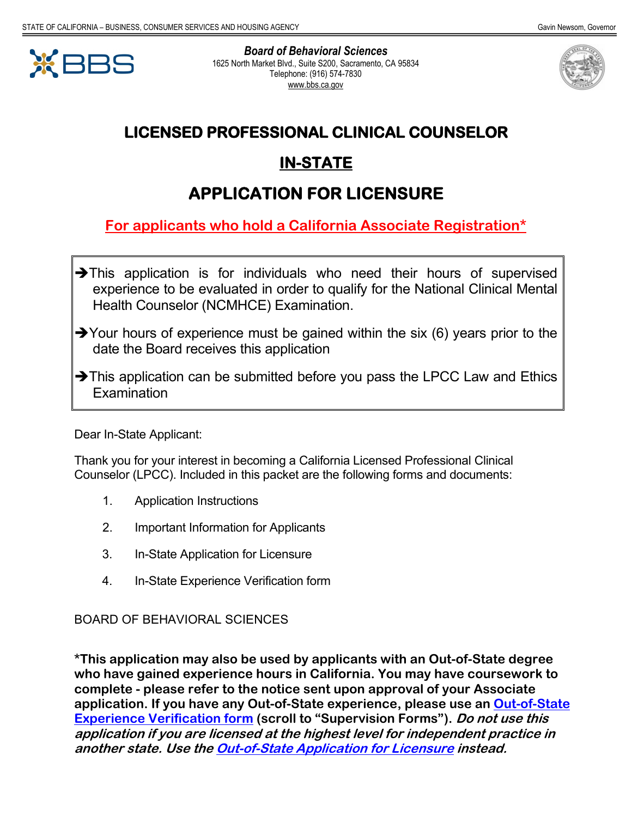

*Board of Behavioral Sciences* 1625 North Market Blvd., Suite S200, Sacramento, CA 95834 Telephone: (916) 574-7830 www.bbs.ca.gov



## **LICENSED PROFESSIONAL CLINICAL COUNSELOR**

## **IN-STATE**

# **APPLICATION FOR LICENSURE**

**For applicants who hold a California Associate Registration\***

- $\rightarrow$ This application is for individuals who need their hours of supervised experience to be evaluated in order to qualify for the National Clinical Mental Health Counselor (NCMHCE) Examination.
- $\rightarrow$  Your hours of experience must be gained within the six (6) years prior to the date the Board receives this application
- $\rightarrow$ This application can be submitted before you pass the LPCC Law and Ethics **Examination**

Dear In-State Applicant:

Thank you for your interest in becoming a California Licensed Professional Clinical Counselor (LPCC). Included in this packet are the following forms and documents:

- 1. Application Instructions
- 2. Important Information for Applicants
- 3. In-State Application for Licensure
- 4. In-State Experience Verification form

#### BOARD OF BEHAVIORAL SCIENCES

**\*This application may also be used by applicants with an Out-of-State degree who have gained experience hours in California. You may have coursework to complete - please refer to the notice sent upon approval of your Associate application. If you have any Out-of-State experience, please use an [Out-of-State](https://www.bbs.ca.gov/applicants/lpcc.html) Experience [Verification](https://www.bbs.ca.gov/applicants/lpcc.html) form (scroll to "Supervision Forms"). Do not use this application if you are licensed at the highest level for independent practice in another state. Use the Out-of-State [Application](https://www.bbs.ca.gov/pdf/forms/lpc/lpc_app_oos_01012016.pdf) for Licensure instead.**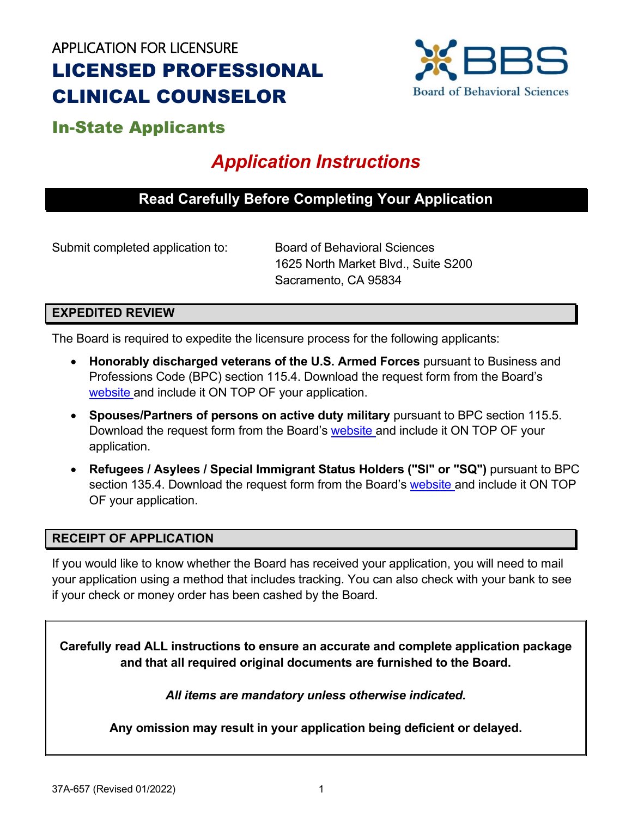# APPLICATION FOR LICENSURE LICENSED PROFESSIONAL CLINICAL COUNSELOR



## In-State Applicants

# *Application Instructions*

## **Read Carefully Before Completing Your Application**

Submit completed application to: Board of Behavioral Sciences

1625 North Market Blvd., Suite S200 Sacramento, CA 95834

#### **EXPEDITED REVIEW**

The Board is required to expedite the licensure process for the following applicants:

- **Honorably discharged veterans of the U.S. Armed Forces** pursuant to Business and Professions Code (BPC) section 115.4. Download the request form from the Board's [website a](https://www.bbs.ca.gov/pdf/forms/military_veteran_expedite_37m-471.pdf)nd include it ON TOP OF your application.
- **Spouses/Partners of persons on active duty military** pursuant to BPC section 115.5. Download the request form from the Board's [website a](https://www.bbs.ca.gov/pdf/forms/military_spouse_expedite_37m-470.pdf)nd include it ON TOP OF your application.
- **Refugees / Asylees / Special Immigrant Status Holders ("SI" or "SQ")** pursuant to BPC section 135.4. Download the request form from the Board's [website a](https://www.bbs.ca.gov/pdf/forms/refugee_exp_request.pdf)nd include it ON TOP OF your application.

#### **RECEIPT OF APPLICATION**

If you would like to know whether the Board has received your application, you will need to mail your application using a method that includes tracking. You can also check with your bank to see if your check or money order has been cashed by the Board.

**Carefully read ALL instructions to ensure an accurate and complete application package and that all required original documents are furnished to the Board.**

*All items are mandatory unless otherwise indicated.* 

**Any omission may result in your application being deficient or delayed.**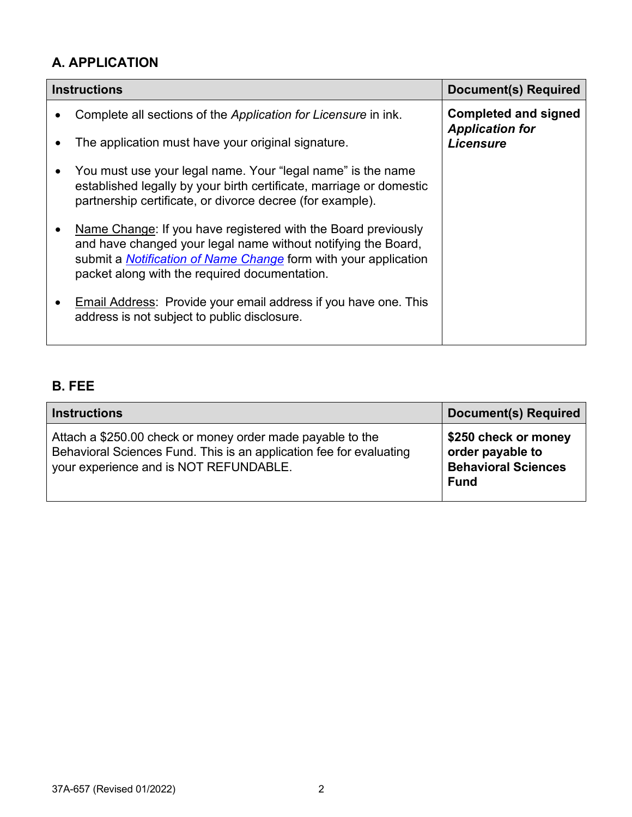## **A. APPLICATION**

| <b>Instructions</b>                                                                                                                                                                                                                                       | <b>Document(s) Required</b>                           |
|-----------------------------------------------------------------------------------------------------------------------------------------------------------------------------------------------------------------------------------------------------------|-------------------------------------------------------|
| Complete all sections of the Application for Licensure in ink.                                                                                                                                                                                            | <b>Completed and signed</b><br><b>Application for</b> |
| The application must have your original signature.                                                                                                                                                                                                        | <b>Licensure</b>                                      |
| You must use your legal name. Your "legal name" is the name<br>established legally by your birth certificate, marriage or domestic<br>partnership certificate, or divorce decree (for example).                                                           |                                                       |
| Name Change: If you have registered with the Board previously<br>and have changed your legal name without notifying the Board,<br>submit a <b>Notification of Name Change</b> form with your application<br>packet along with the required documentation. |                                                       |
| <b>Email Address: Provide your email address if you have one. This</b><br>address is not subject to public disclosure.                                                                                                                                    |                                                       |

## **B. FEE**

| <b>Instructions</b>                                                                                                                                                         | Document(s) Required                                                                  |
|-----------------------------------------------------------------------------------------------------------------------------------------------------------------------------|---------------------------------------------------------------------------------------|
| Attach a \$250.00 check or money order made payable to the<br>Behavioral Sciences Fund. This is an application fee for evaluating<br>your experience and is NOT REFUNDABLE. | \$250 check or money<br>order payable to<br><b>Behavioral Sciences</b><br><b>Fund</b> |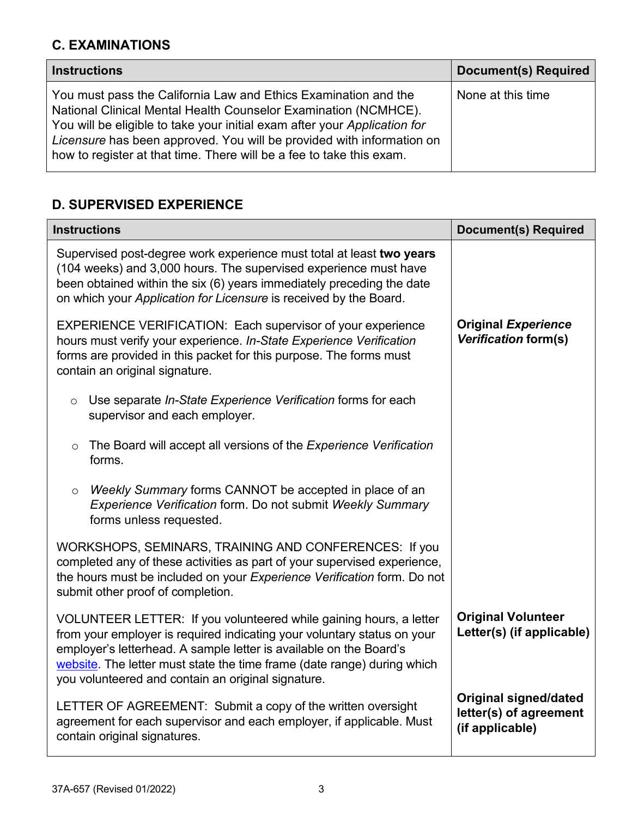## **C. EXAMINATIONS**

| <b>Instructions</b>                                                                                                                                                                                                                                                                                                                                              | <b>Document(s) Required</b> |
|------------------------------------------------------------------------------------------------------------------------------------------------------------------------------------------------------------------------------------------------------------------------------------------------------------------------------------------------------------------|-----------------------------|
| You must pass the California Law and Ethics Examination and the<br>National Clinical Mental Health Counselor Examination (NCMHCE).<br>You will be eligible to take your initial exam after your Application for<br>Licensure has been approved. You will be provided with information on<br>how to register at that time. There will be a fee to take this exam. | None at this time           |

## **D. SUPERVISED EXPERIENCE**

| <b>Instructions</b>                                                                                                                                                                                                                                                                                                                                  | <b>Document(s) Required</b>                                               |
|------------------------------------------------------------------------------------------------------------------------------------------------------------------------------------------------------------------------------------------------------------------------------------------------------------------------------------------------------|---------------------------------------------------------------------------|
| Supervised post-degree work experience must total at least two years<br>(104 weeks) and 3,000 hours. The supervised experience must have<br>been obtained within the six (6) years immediately preceding the date<br>on which your Application for Licensure is received by the Board.                                                               |                                                                           |
| <b>EXPERIENCE VERIFICATION: Each supervisor of your experience</b><br>hours must verify your experience. In-State Experience Verification<br>forms are provided in this packet for this purpose. The forms must<br>contain an original signature.                                                                                                    | <b>Original Experience</b><br><b>Verification form(s)</b>                 |
| Use separate In-State Experience Verification forms for each<br>$\circ$<br>supervisor and each employer.                                                                                                                                                                                                                                             |                                                                           |
| The Board will accept all versions of the Experience Verification<br>$\circ$<br>forms.                                                                                                                                                                                                                                                               |                                                                           |
| Weekly Summary forms CANNOT be accepted in place of an<br>$\circ$<br>Experience Verification form. Do not submit Weekly Summary<br>forms unless requested.                                                                                                                                                                                           |                                                                           |
| WORKSHOPS, SEMINARS, TRAINING AND CONFERENCES: If you<br>completed any of these activities as part of your supervised experience,<br>the hours must be included on your Experience Verification form. Do not<br>submit other proof of completion.                                                                                                    |                                                                           |
| VOLUNTEER LETTER: If you volunteered while gaining hours, a letter<br>from your employer is required indicating your voluntary status on your<br>employer's letterhead. A sample letter is available on the Board's<br>website. The letter must state the time frame (date range) during which<br>you volunteered and contain an original signature. | <b>Original Volunteer</b><br>Letter(s) (if applicable)                    |
| LETTER OF AGREEMENT: Submit a copy of the written oversight<br>agreement for each supervisor and each employer, if applicable. Must<br>contain original signatures.                                                                                                                                                                                  | <b>Original signed/dated</b><br>letter(s) of agreement<br>(if applicable) |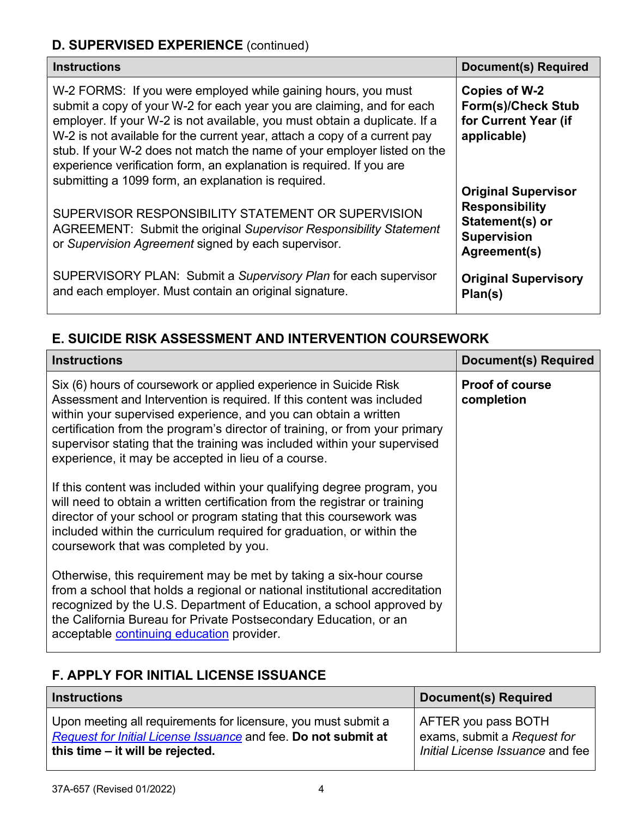## **D. SUPERVISED EXPERIENCE** (continued)

| <b>Instructions</b>                                                                                                                                                                                                                                                                                                                                                                                                                                                                                          | <b>Document(s) Required</b>                                                                                  |
|--------------------------------------------------------------------------------------------------------------------------------------------------------------------------------------------------------------------------------------------------------------------------------------------------------------------------------------------------------------------------------------------------------------------------------------------------------------------------------------------------------------|--------------------------------------------------------------------------------------------------------------|
| W-2 FORMS: If you were employed while gaining hours, you must<br>submit a copy of your W-2 for each year you are claiming, and for each<br>employer. If your W-2 is not available, you must obtain a duplicate. If a<br>W-2 is not available for the current year, attach a copy of a current pay<br>stub. If your W-2 does not match the name of your employer listed on the<br>experience verification form, an explanation is required. If you are<br>submitting a 1099 form, an explanation is required. | Copies of W-2<br><b>Form(s)/Check Stub</b><br>for Current Year (if<br>applicable)                            |
| SUPERVISOR RESPONSIBILITY STATEMENT OR SUPERVISION<br>AGREEMENT: Submit the original Supervisor Responsibility Statement<br>or Supervision Agreement signed by each supervisor.                                                                                                                                                                                                                                                                                                                              | <b>Original Supervisor</b><br><b>Responsibility</b><br>Statement(s) or<br><b>Supervision</b><br>Agreement(s) |
| SUPERVISORY PLAN: Submit a Supervisory Plan for each supervisor<br>and each employer. Must contain an original signature.                                                                                                                                                                                                                                                                                                                                                                                    | <b>Original Supervisory</b><br>Plan(s)                                                                       |

## **E. SUICIDE RISK ASSESSMENT AND INTERVENTION COURSEWORK**

| <b>Instructions</b>                                                                                                                                                                                                                                                                                                                                                                                                             | <b>Document(s) Required</b>          |
|---------------------------------------------------------------------------------------------------------------------------------------------------------------------------------------------------------------------------------------------------------------------------------------------------------------------------------------------------------------------------------------------------------------------------------|--------------------------------------|
| Six (6) hours of coursework or applied experience in Suicide Risk<br>Assessment and Intervention is required. If this content was included<br>within your supervised experience, and you can obtain a written<br>certification from the program's director of training, or from your primary<br>supervisor stating that the training was included within your supervised<br>experience, it may be accepted in lieu of a course. | <b>Proof of course</b><br>completion |
| If this content was included within your qualifying degree program, you<br>will need to obtain a written certification from the registrar or training<br>director of your school or program stating that this coursework was<br>included within the curriculum required for graduation, or within the<br>coursework that was completed by you.                                                                                  |                                      |
| Otherwise, this requirement may be met by taking a six-hour course<br>from a school that holds a regional or national institutional accreditation<br>recognized by the U.S. Department of Education, a school approved by<br>the California Bureau for Private Postsecondary Education, or an<br>acceptable continuing education provider.                                                                                      |                                      |

## **F. APPLY FOR INITIAL LICENSE ISSUANCE**

| <b>Instructions</b>                                            | <b>Document(s) Required</b>      |
|----------------------------------------------------------------|----------------------------------|
| Upon meeting all requirements for licensure, you must submit a | AFTER you pass BOTH              |
| Request for Initial License Issuance and fee. Do not submit at | exams, submit a Request for      |
| this time – it will be rejected.                               | Initial License Issuance and fee |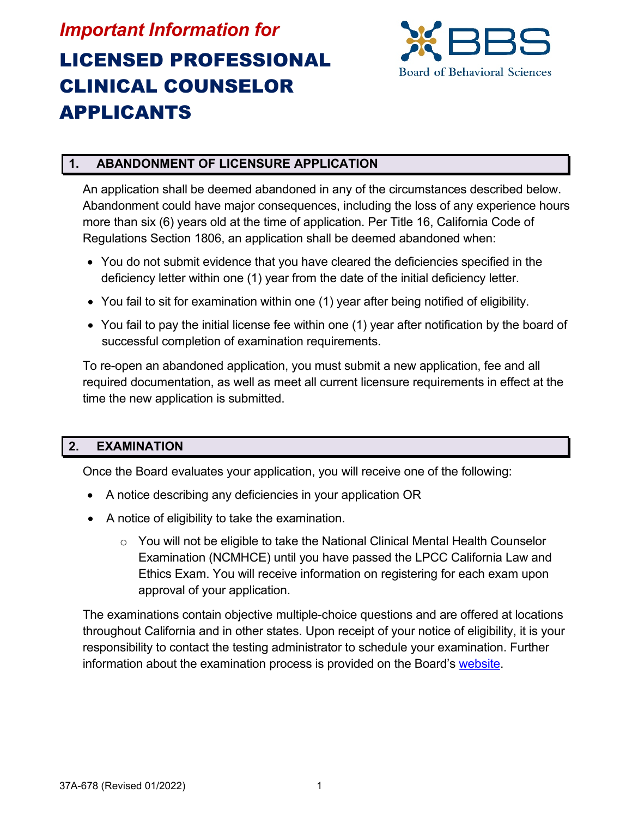# *Important Information for* LICENSED PROFESSIONAL CLINICAL COUNSELOR APPLICANTS



#### **1. ABANDONMENT OF LICENSURE APPLICATION**

An application shall be deemed abandoned in any of the circumstances described below. Abandonment could have major consequences, including the loss of any experience hours more than six (6) years old at the time of application. Per Title 16, California Code of Regulations Section 1806, an application shall be deemed abandoned when:

- You do not submit evidence that you have cleared the deficiencies specified in the deficiency letter within one (1) year from the date of the initial deficiency letter.
- You fail to sit for examination within one (1) year after being notified of eligibility.
- You fail to pay the initial license fee within one (1) year after notification by the board of successful completion of examination requirements.

To re-open an abandoned application, you must submit a new application, fee and all required documentation, as well as meet all current licensure requirements in effect at the time the new application is submitted.

#### **2. EXAMINATION**

Once the Board evaluates your application, you will receive one of the following:

- A notice describing any deficiencies in your application OR
- A notice of eligibility to take the examination.
	- $\circ$  You will not be eligible to take the National Clinical Mental Health Counselor Examination (NCMHCE) until you have passed the LPCC California Law and Ethics Exam. You will receive information on registering for each exam upon approval of your application.

The examinations contain objective multiple-choice questions and are offered at locations throughout California and in other states. Upon receipt of your notice of eligibility, it is your responsibility to contact the testing administrator to schedule your examination. Further information about the examination process is provided on the Board's [website.](https://www.bbs.ca.gov/exams/lpcc.html)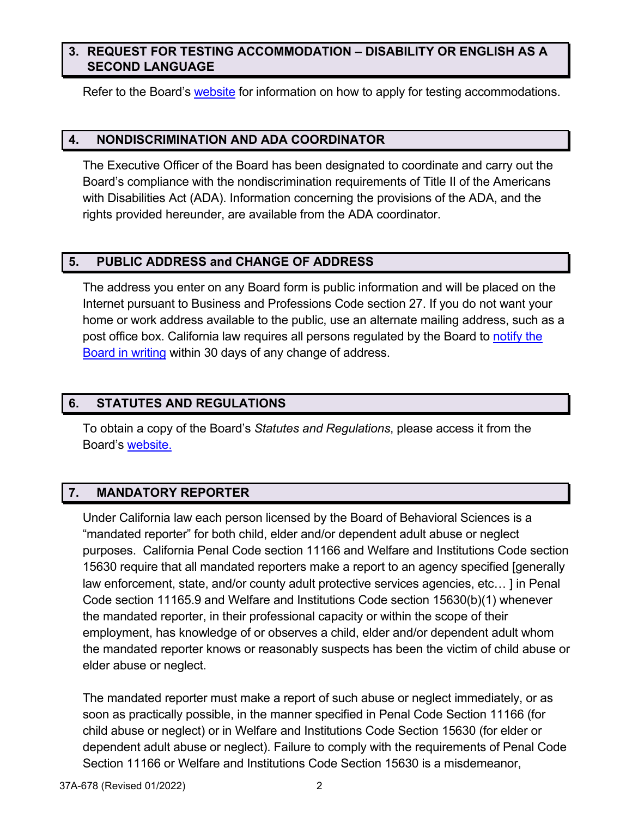#### **3. REQUEST FOR TESTING ACCOMMODATION – DISABILITY OR ENGLISH AS A SECOND LANGUAGE**

Refer to the Board's [website](https://www.bbs.ca.gov/exams/lpcc.html) for information on how to apply for testing accommodations.

#### **4. NONDISCRIMINATION AND ADA COORDINATOR**

The Executive Officer of the Board has been designated to coordinate and carry out the Board's compliance with the nondiscrimination requirements of Title II of the Americans with Disabilities Act (ADA). Information concerning the provisions of the ADA, and the rights provided hereunder, are available from the ADA coordinator.

#### **5. PUBLIC ADDRESS and CHANGE OF ADDRESS**

The address you enter on any Board form is public information and will be placed on the Internet pursuant to Business and Professions Code section 27. If you do not want your home or work address available to the public, use an alternate mailing address, such as a post office box. California law requires all persons regulated by the Board to [notify the](https://www.breeze.ca.gov/datamart/loginCADCA.do;jsessionid=86871C1B66A3C4B08498DA7E49AB331F.vo16)  [Board in writing](https://www.breeze.ca.gov/datamart/loginCADCA.do;jsessionid=86871C1B66A3C4B08498DA7E49AB331F.vo16) within 30 days of any change of address.

#### **6. STATUTES AND REGULATIONS**

To obtain a copy of the Board's *Statutes and Regulations*, please access it from the Board's [website.](https://www.bbs.ca.gov/pdf/publications/lawsregs.pdf)

#### **7. MANDATORY REPORTER**

Under California law each person licensed by the Board of Behavioral Sciences is a "mandated reporter" for both child, elder and/or dependent adult abuse or neglect purposes. California Penal Code section 11166 and Welfare and Institutions Code section 15630 require that all mandated reporters make a report to an agency specified [generally law enforcement, state, and/or county adult protective services agencies, etc… ] in Penal Code section 11165.9 and Welfare and Institutions Code section 15630(b)(1) whenever the mandated reporter, in their professional capacity or within the scope of their employment, has knowledge of or observes a child, elder and/or dependent adult whom the mandated reporter knows or reasonably suspects has been the victim of child abuse or elder abuse or neglect.

The mandated reporter must make a report of such abuse or neglect immediately, or as soon as practically possible, in the manner specified in Penal Code Section 11166 (for child abuse or neglect) or in Welfare and Institutions Code Section 15630 (for elder or dependent adult abuse or neglect). Failure to comply with the requirements of Penal Code Section 11166 or Welfare and Institutions Code Section 15630 is a misdemeanor,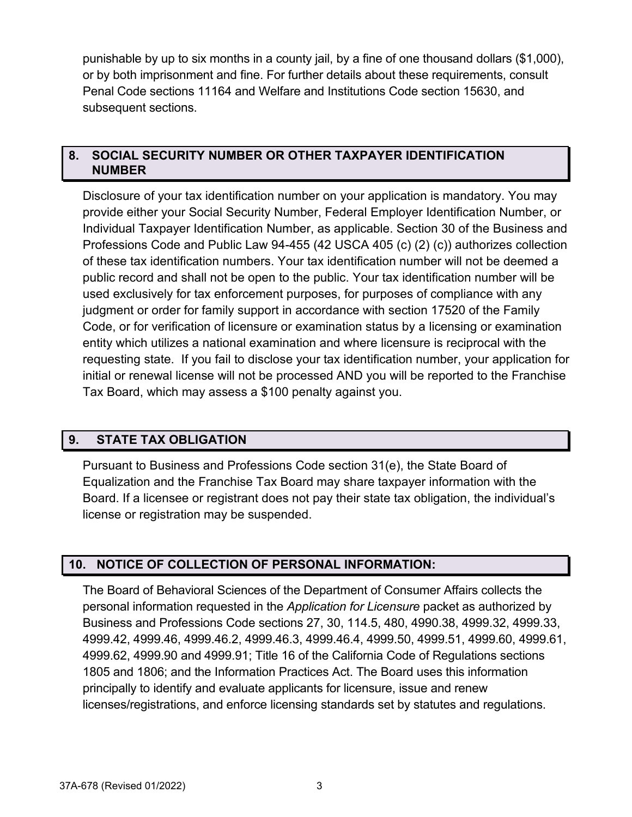punishable by up to six months in a county jail, by a fine of one thousand dollars (\$1,000), or by both imprisonment and fine. For further details about these requirements, consult Penal Code sections 11164 and Welfare and Institutions Code section 15630, and subsequent sections.

#### **8. SOCIAL SECURITY NUMBER OR OTHER TAXPAYER IDENTIFICATION NUMBER**

Disclosure of your tax identification number on your application is mandatory. You may provide either your Social Security Number, Federal Employer Identification Number, or Individual Taxpayer Identification Number, as applicable. Section 30 of the Business and Professions Code and Public Law 94-455 (42 USCA 405 (c) (2) (c)) authorizes collection of these tax identification numbers. Your tax identification number will not be deemed a public record and shall not be open to the public. Your tax identification number will be used exclusively for tax enforcement purposes, for purposes of compliance with any judgment or order for family support in accordance with section 17520 of the Family Code, or for verification of licensure or examination status by a licensing or examination entity which utilizes a national examination and where licensure is reciprocal with the requesting state. If you fail to disclose your tax identification number, your application for initial or renewal license will not be processed AND you will be reported to the Franchise Tax Board, which may assess a \$100 penalty against you.

#### **9. STATE TAX OBLIGATION**

Pursuant to Business and Professions Code section 31(e), the State Board of Equalization and the Franchise Tax Board may share taxpayer information with the Board. If a licensee or registrant does not pay their state tax obligation, the individual's license or registration may be suspended.

#### **10. NOTICE OF COLLECTION OF PERSONAL INFORMATION:**

The Board of Behavioral Sciences of the Department of Consumer Affairs collects the personal information requested in the *Application for Licensure* packet as authorized by Business and Professions Code sections 27, 30, 114.5, 480, 4990.38, 4999.32, 4999.33, 4999.42, 4999.46, 4999.46.2, 4999.46.3, 4999.46.4, 4999.50, 4999.51, 4999.60, 4999.61, 4999.62, 4999.90 and 4999.91; Title 16 of the California Code of Regulations sections 1805 and 1806; and the Information Practices Act. The Board uses this information principally to identify and evaluate applicants for licensure, issue and renew licenses/registrations, and enforce licensing standards set by statutes and regulations.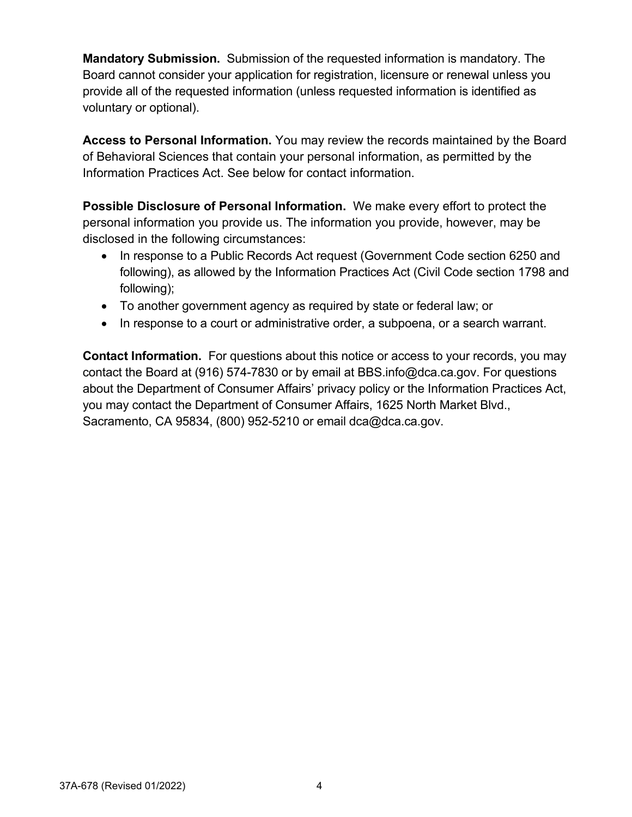**Mandatory Submission.** Submission of the requested information is mandatory. The Board cannot consider your application for registration, licensure or renewal unless you provide all of the requested information (unless requested information is identified as voluntary or optional).

**Access to Personal Information.** You may review the records maintained by the Board of Behavioral Sciences that contain your personal information, as permitted by the Information Practices Act. See below for contact information.

**Possible Disclosure of Personal Information.** We make every effort to protect the personal information you provide us. The information you provide, however, may be disclosed in the following circumstances:

- In response to a Public Records Act request (Government Code section 6250 and following), as allowed by the Information Practices Act (Civil Code section 1798 and following);
- To another government agency as required by state or federal law; or
- In response to a court or administrative order, a subpoena, or a search warrant.

**Contact Information.** For questions about this notice or access to your records, you may contact the Board at (916) 574-7830 or by email at BBS.info@dca.ca.gov. For questions about the Department of Consumer Affairs' privacy policy or the Information Practices Act, you may contact the Department of Consumer Affairs, 1625 North Market Blvd., Sacramento, CA 95834, (800) 952-5210 or email dca@dca.ca.gov.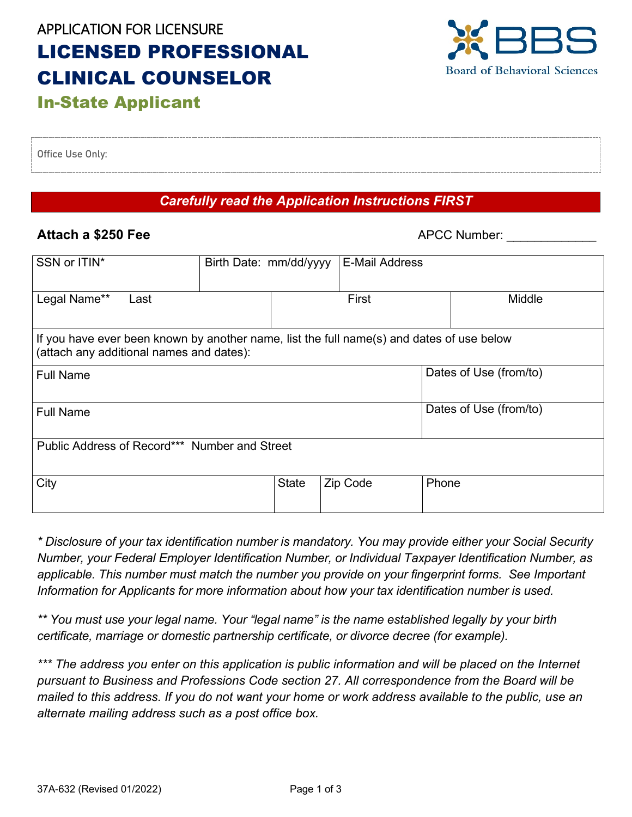# APPLICATION FOR LICENSURE LICENSED PROFESSIONAL CLINICAL COUNSELOR In-State Applicant



Office Use Only:

#### *Carefully read the Application Instructions FIRST*

#### **Attach a \$250 Fee** APCC Number:

| SSN or ITIN*                                                                                                                          | Birth Date: mm/dd/yyyy |              |          | <b>E-Mail Address</b> |       |                        |
|---------------------------------------------------------------------------------------------------------------------------------------|------------------------|--------------|----------|-----------------------|-------|------------------------|
| Legal Name**<br>Last                                                                                                                  |                        | First        |          | Middle                |       |                        |
| If you have ever been known by another name, list the full name(s) and dates of use below<br>(attach any additional names and dates): |                        |              |          |                       |       |                        |
| <b>Full Name</b>                                                                                                                      |                        |              |          |                       |       | Dates of Use (from/to) |
| <b>Full Name</b>                                                                                                                      |                        |              |          |                       |       | Dates of Use (from/to) |
| Public Address of Record*** Number and Street                                                                                         |                        |              |          |                       |       |                        |
| City                                                                                                                                  |                        | <b>State</b> | Zip Code |                       | Phone |                        |

*\* Disclosure of your tax identification number is mandatory. You may provide either your Social Security Number, your Federal Employer Identification Number, or Individual Taxpayer Identification Number, as applicable. This number must match the number you provide on your fingerprint forms. See Important Information for Applicants for more information about how your tax identification number is used.*

*\*\* You must use your legal name. Your "legal name" is the name established legally by your birth certificate, marriage or domestic partnership certificate, or divorce decree (for example).*

*\*\*\* The address you enter on this application is public information and will be placed on the Internet pursuant to Business and Professions Code section 27. All correspondence from the Board will be mailed to this address. If you do not want your home or work address available to the public, use an alternate mailing address such as a post office box.*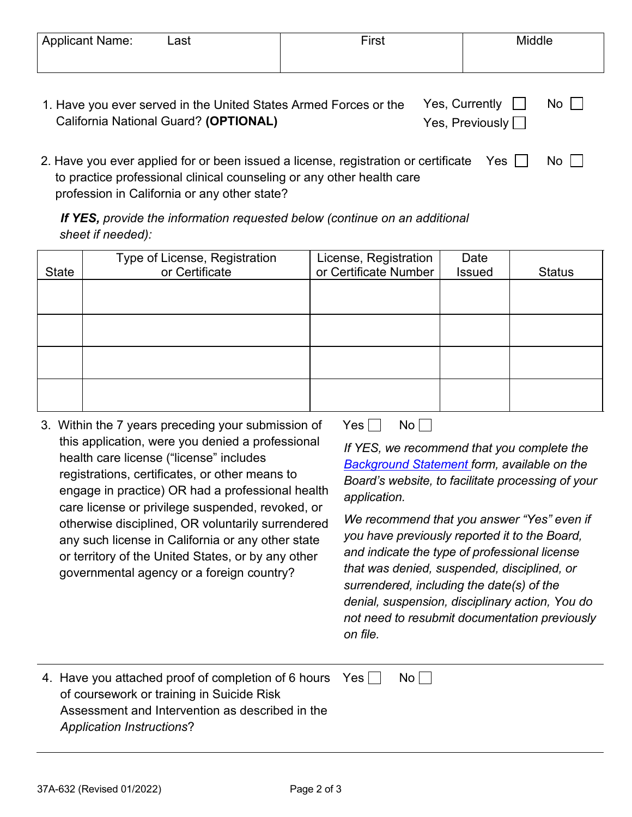| <b>Applicant Name:</b> | ∟ast | $r$ irst | Middle |
|------------------------|------|----------|--------|
|                        |      |          |        |

| 1. Have you ever served in the United States Armed Forces or the Yes, Currently $\Box$ No $\Box$ |                        |  |
|--------------------------------------------------------------------------------------------------|------------------------|--|
| California National Guard? (OPTIONAL)                                                            | Yes, Previously $\Box$ |  |

| 2. Have you ever applied for or been issued a license, registration or certificate Yes $\Box$ | $No$ $\Box$ |
|-----------------------------------------------------------------------------------------------|-------------|
| to practice professional clinical counseling or any other health care                         |             |
| profession in California or any other state?                                                  |             |

*If YES, provide the information requested below (continue on an additional sheet if needed):*

|              | Type of License, Registration | License, Registration | Date          |               |
|--------------|-------------------------------|-----------------------|---------------|---------------|
| <b>State</b> | or Certificate                | or Certificate Number | <b>Issued</b> | <b>Status</b> |
|              |                               |                       |               |               |
|              |                               |                       |               |               |
|              |                               |                       |               |               |
|              |                               |                       |               |               |
|              |                               |                       |               |               |
|              |                               |                       |               |               |
|              |                               |                       |               |               |
|              |                               |                       |               |               |

3. Within the 7 years preceding your submission of this application, were you denied a professional health care license ("license" includes registrations, certificates, or other means to engage in practice) OR had a professional health care license or privilege suspended, revoked, or otherwise disciplined, OR voluntarily surrendered any such license in California or any other state or territory of the United States, or by any other governmental agency or a foreign country?

 $Yes \Box No \Box$ 

*If YES, we recommend that you complete the [Background Statement](http://www.bbs.ca.gov/pdf/forms/conv_background_statement_form.pdf) form, available on the Board's website, to facilitate processing of your application.*

*We recommend that you answer "Yes" even if you have previously reported it to the Board, and indicate the type of professional license that was denied, suspended, disciplined, or surrendered, including the date(s) of the denial, suspension, disciplinary action, You do not need to resubmit documentation previously on file.*

| 4. Have you attached proof of completion of 6 hours Yes | No |
|---------------------------------------------------------|----|
| of coursework or training in Suicide Risk               |    |
| Assessment and Intervention as described in the         |    |
| <b>Application Instructions?</b>                        |    |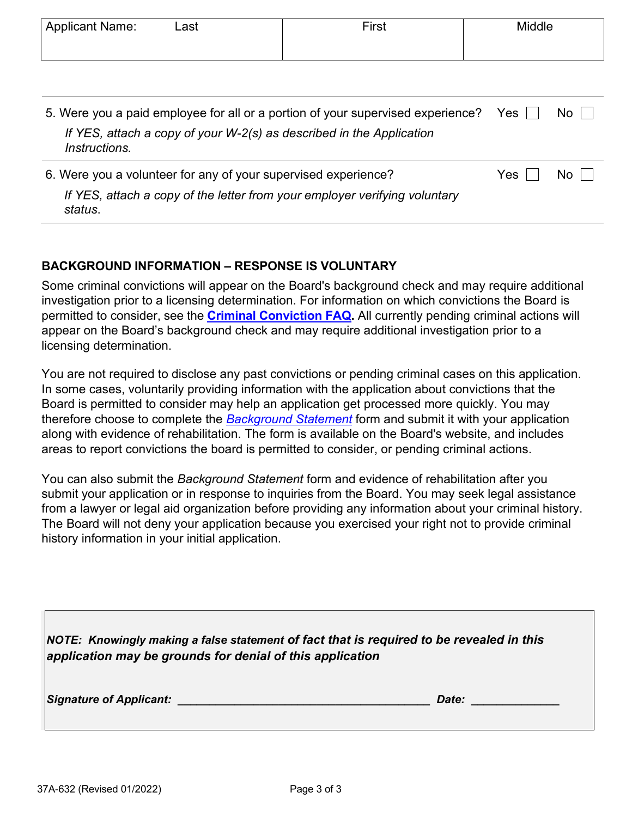| <b>Applicant Name:</b> | Last                                                           | First                                                                           | Middle |      |
|------------------------|----------------------------------------------------------------|---------------------------------------------------------------------------------|--------|------|
|                        |                                                                |                                                                                 |        |      |
|                        |                                                                |                                                                                 |        |      |
|                        |                                                                |                                                                                 |        |      |
|                        |                                                                |                                                                                 |        |      |
|                        |                                                                |                                                                                 |        |      |
|                        |                                                                | 5. Were you a paid employee for all or a portion of your supervised experience? | Yes    | No l |
|                        |                                                                | If YES, attach a copy of your W-2(s) as described in the Application            |        |      |
| Instructions.          |                                                                |                                                                                 |        |      |
|                        |                                                                |                                                                                 |        |      |
|                        | 6. Were you a volunteer for any of your supervised experience? |                                                                                 | Yes    | NO.  |
|                        |                                                                | If YES, attach a copy of the letter from your employer verifying voluntary      |        |      |
|                        |                                                                |                                                                                 |        |      |
| status.                |                                                                |                                                                                 |        |      |

#### **BACKGROUND INFORMATION – RESPONSE IS VOLUNTARY**

Some criminal convictions will appear on the Board's background check and may require additional investigation prior to a licensing determination. For information on which convictions the Board is permitted to consider, see the **[Criminal Conviction FAQ.](https://bbs.ca.gov/pdf/ab2138_faqs.pdf)** All currently pending criminal actions will appear on the Board's background check and may require additional investigation prior to a licensing determination.

You are not required to disclose any past convictions or pending criminal cases on this application. In some cases, voluntarily providing information with the application about convictions that the Board is permitted to consider may help an application get processed more quickly. You may therefore choose to complete the *[Background Statement](https://www.bbs.ca.gov/pdf/forms/conv_background_statement_form.pdf)* form and submit it with your application along with evidence of rehabilitation. The form is available on the Board's website, and includes areas to report convictions the board is permitted to consider, or pending criminal actions.

You can also submit the *Background Statement* form and evidence of rehabilitation after you submit your application or in response to inquiries from the Board. You may seek legal assistance from a lawyer or legal aid organization before providing any information about your criminal history. The Board will not deny your application because you exercised your right not to provide criminal history information in your initial application.

*NOTE: Knowingly making a false statement of fact that is required to be revealed in this application may be grounds for denial of this application*

*Signature of Applicant: \_\_\_\_\_\_\_\_\_\_\_\_\_\_\_\_\_\_\_\_\_\_\_\_\_\_\_\_\_\_\_\_\_\_\_\_\_\_\_\_ Date: \_\_\_\_\_\_\_\_\_\_\_\_\_\_*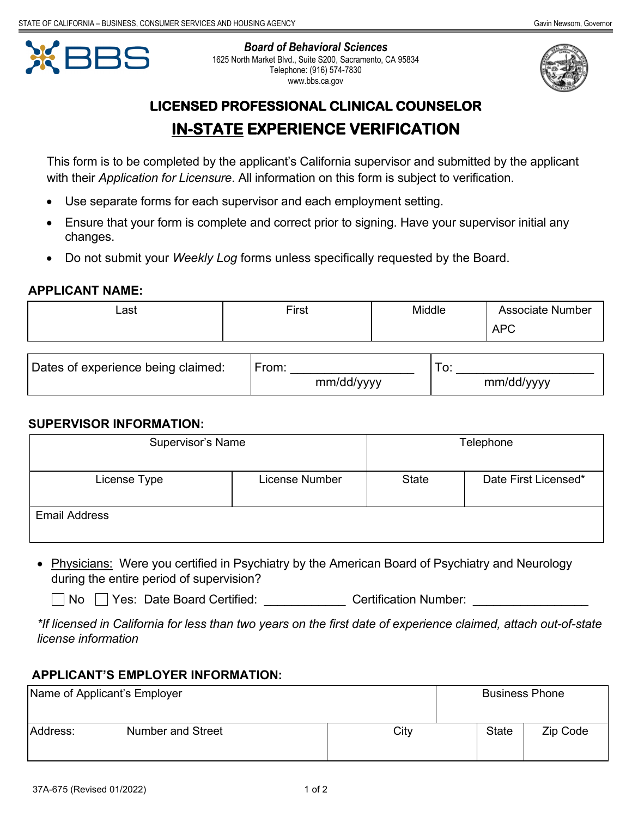

*Board of Behavioral Sciences* 1625 North Market Blvd., Suite S200, Sacramento, CA 95834 Telephone: (916) 574-7830 www.bbs.ca.gov



## **LICENSED PROFESSIONAL CLINICAL COUNSELOR IN-STATE EXPERIENCE VERIFICATION**

This form is to be completed by the applicant's California supervisor and submitted by the applicant with their *Application for Licensure*. All information on this form is subject to verification.

- Use separate forms for each supervisor and each employment setting.
- Ensure that your form is complete and correct prior to signing. Have your supervisor initial any changes.
- Do not submit your *Weekly Log* forms unless specifically requested by the Board.

#### **APPLICANT NAME:**

| Last | $r$ irst | Middle | <b>Associate Number</b> |
|------|----------|--------|-------------------------|
|      |          |        | <b>APC</b>              |

| Dates of experience being claimed: | From.      | J.         |
|------------------------------------|------------|------------|
|                                    | mm/dd/yyyy | mm/dd/yyyy |

#### **SUPERVISOR INFORMATION:**

| Supervisor's Name    |                |              | Telephone            |
|----------------------|----------------|--------------|----------------------|
| License Type         | License Number | <b>State</b> | Date First Licensed* |
| <b>Email Address</b> |                |              |                      |

• Physicians: Were you certified in Psychiatry by the American Board of Psychiatry and Neurology during the entire period of supervision?

□ No □ Yes: Date Board Certified: Certification Number:

*\*If licensed in California for less than two years on the first date of experience claimed, attach out-of-state license information*

#### **APPLICANT'S EMPLOYER INFORMATION:**

| Name of Applicant's Employer |                          |      |              | <b>Business Phone</b> |
|------------------------------|--------------------------|------|--------------|-----------------------|
| Address:                     | <b>Number and Street</b> | City | <b>State</b> | Zip Code              |